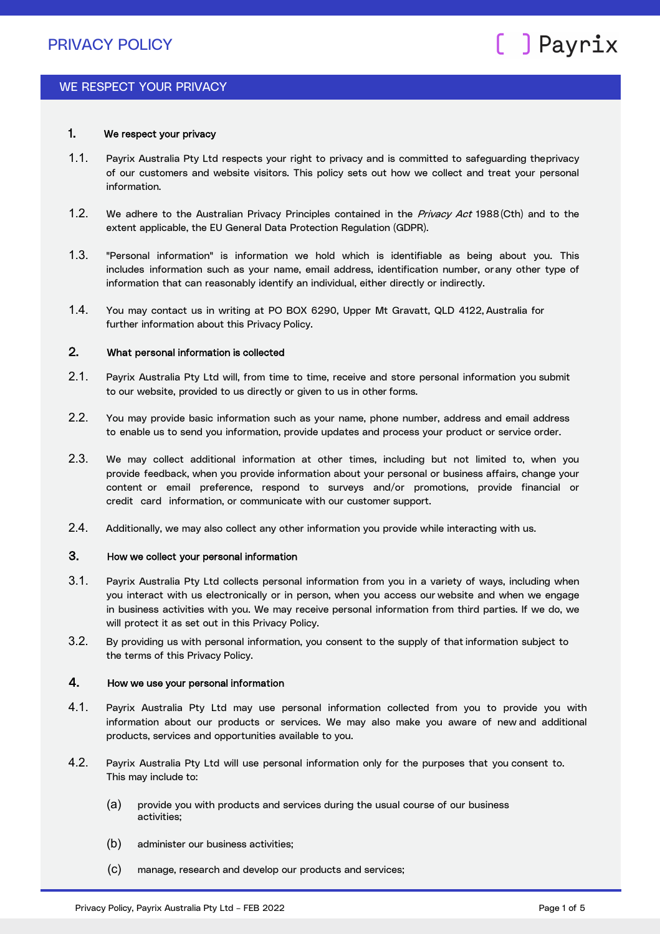### WE RESPECT YOUR PRIVACY

### 1. We respect your privacy

- 1.1. Payrix Australia Pty Ltd respects your right to privacy and is committed to safeguarding theprivacy of our customers and website visitors. This policy sets out how we collect and treat your personal information.
- 1.2. We adhere to the Australian Privacy Principles contained in the Privacy Act 1988 (Cth) and to the extent applicable, the EU General Data Protection Regulation (GDPR).
- 1.3. "Personal information" is information we hold which is identifiable as being about you. This includes information such as your name, email address, identification number, orany other type of information that can reasonably identify an individual, either directly or indirectly.
- 1.4. You may contact us in writing at PO BOX 6290, Upper Mt Gravatt, QLD 4122, Australia for further information about this Privacy Policy.

### 2. What personal information is collected

- 2.1. Payrix Australia Pty Ltd will, from time to time, receive and store personal information you submit to our website, provided to us directly or given to us in other forms.
- 2.2. You may provide basic information such as your name, phone number, address and email address to enable us to send you information, provide updates and process your product or service order.
- 2.3. We may collect additional information at other times, including but not limited to, when you provide feedback, when you provide information about your personal or business affairs, change your content or email preference, respond to surveys and/or promotions, provide financial or credit card information, or communicate with our customer support.
- 2.4. Additionally, we may also collect any other information you provide while interacting with us.

### 3. How we collect your personal information

- 3.1. Payrix Australia Pty Ltd collects personal information from you in a variety of ways, including when you interact with us electronically or in person, when you access our website and when we engage in business activities with you. We may receive personal information from third parties. If we do, we will protect it as set out in this Privacy Policy.
- 3.2. By providing us with personal information, you consent to the supply of that information subject to the terms of this Privacy Policy.

### 4. How we use your personal information

- 4.1. Payrix Australia Pty Ltd may use personal information collected from you to provide you with information about our products or services. We may also make you aware of new and additional products, services and opportunities available to you.
- 4.2. Payrix Australia Pty Ltd will use personal information only for the purposes that you consent to. This may include to:
	- (a) provide you with products and services during the usual course of our business activities;
	- (b) administer our business activities;
	- (c) manage, research and develop our products and services;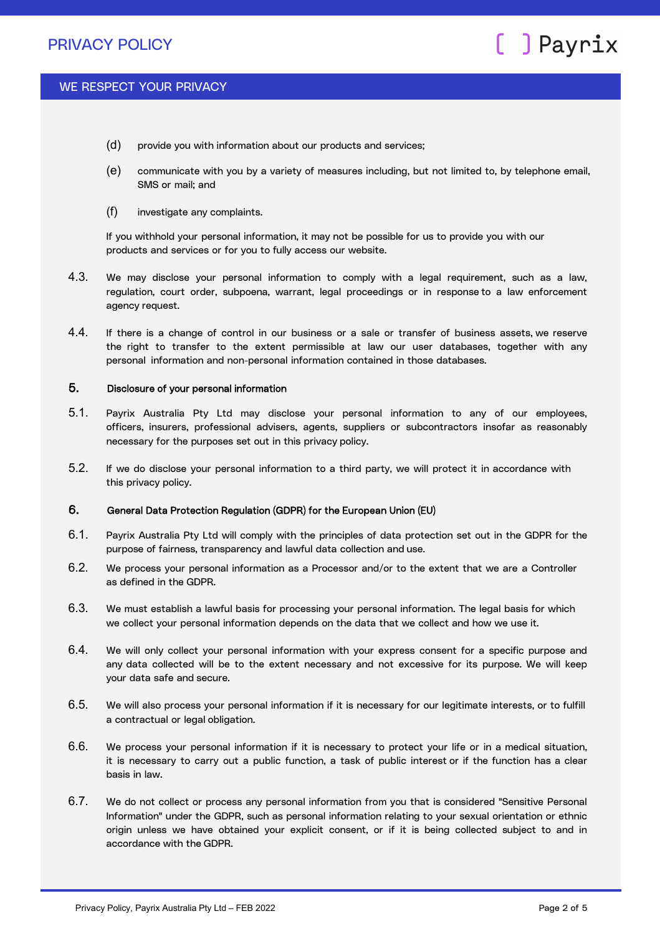### WE RESPECT YOUR PRIVACY

- (d) provide you with information about our products and services;
- (e) communicate with you by a variety of measures including, but not limited to, by telephone email, SMS or mail; and
- (f) investigate any complaints.

If you withhold your personal information, it may not be possible for us to provide you with our products and services or for you to fully access our website.

- 4.3. We may disclose your personal information to comply with a legal requirement, such as a law, regulation, court order, subpoena, warrant, legal proceedings or in response to a law enforcement agency request.
- 4.4. If there is a change of control in our business or a sale or transfer of business assets, we reserve the right to transfer to the extent permissible at law our user databases, together with any personal information and non-personal information contained in those databases.

### 5. Disclosure of your personal information

- 5.1. Payrix Australia Pty Ltd may disclose your personal information to any of our employees, officers, insurers, professional advisers, agents, suppliers or subcontractors insofar as reasonably necessary for the purposes set out in this privacy policy.
- 5.2. If we do disclose your personal information to a third party, we will protect it in accordance with this privacy policy.

### 6. General Data Protection Regulation (GDPR) for the European Union (EU)

- 6.1. Payrix Australia Pty Ltd will comply with the principles of data protection set out in the GDPR for the purpose of fairness, transparency and lawful data collection and use.
- 6.2. We process your personal information as a Processor and/or to the extent that we are a Controller as defined in the GDPR.
- 6.3. We must establish a lawful basis for processing your personal information. The legal basis for which we collect your personal information depends on the data that we collect and how we use it.
- 6.4. We will only collect your personal information with your express consent for a specific purpose and any data collected will be to the extent necessary and not excessive for its purpose. We will keep your data safe and secure.
- 6.5. We will also process your personal information if it is necessary for our legitimate interests, or to fulfill a contractual or legal obligation.
- 6.6. We process your personal information if it is necessary to protect your life or in a medical situation, it is necessary to carry out a public function, a task of public interest or if the function has a clear basis in law.
- 6.7. We do not collect or process any personal information from you that is considered "Sensitive Personal Information" under the GDPR, such as personal information relating to your sexual orientation or ethnic origin unless we have obtained your explicit consent, or if it is being collected subject to and in accordance with the GDPR.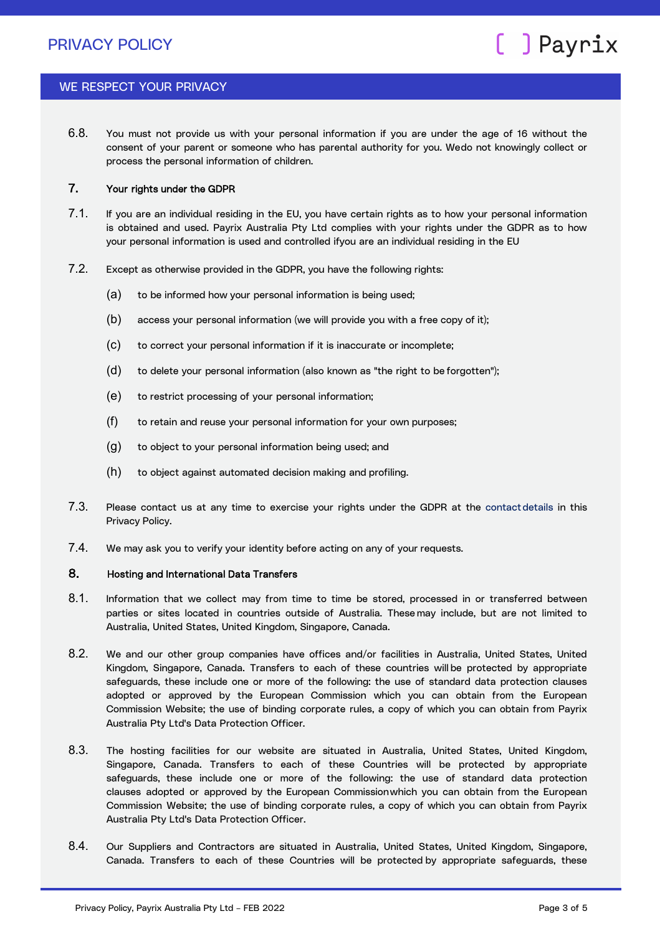### WE RESPECT YOUR PRIVACY

6.8. You must not provide us with your personal information if you are under the age of 16 without the consent of your parent or someone who has parental authority for you. Wedo not knowingly collect or process the personal information of children.

### 7. Your rights under the GDPR

- 7.1. If you are an individual residing in the EU, you have certain rights as to how your personal information is obtained and used. Payrix Australia Pty Ltd complies with your rights under the GDPR as to how your personal information is used and controlled ifyou are an individual residing in the EU
- 7.2. Except as otherwise provided in the GDPR, you have the following rights:
	- (a) to be informed how your personal information is being used;
	- (b) access your personal information (we will provide you with a free copy of it);
	- (c) to correct your personal information if it is inaccurate or incomplete;
	- (d) to delete your personal information (also known as "the right to be forgotten");
	- (e) to restrict processing of your personal information;
	- (f) to retain and reuse your personal information for your own purposes;
	- (g) to object to your personal information being used; and
	- (h) to object against automated decision making and profiling.
- 7.3. Please contact us at any time to exercise your rights under the GDPR at the contact details in this Privacy Policy.
- 7.4. We may ask you to verify your identity before acting on any of your requests.

#### 8. Hosting and International Data Transfers

- 8.1. Information that we collect may from time to time be stored, processed in or transferred between parties or sites located in countries outside of Australia. These may include, but are not limited to Australia, United States, United Kingdom, Singapore, Canada.
- 8.2. We and our other group companies have offices and/or facilities in Australia, United States, United Kingdom, Singapore, Canada. Transfers to each of these countries will be protected by appropriate safeguards, these include one or more of the following: the use of standard data protection clauses adopted or approved by the European Commission which you can obtain from the European Commission Website; the use of binding corporate rules, a copy of which you can obtain from Payrix Australia Pty Ltd's Data Protection Officer.
- 8.3. The hosting facilities for our website are situated in Australia, United States, United Kingdom, Singapore, Canada. Transfers to each of these Countries will be protected by appropriate safeguards, these include one or more of the following: the use of standard data protection clauses adopted or approved by the European Commissionwhich you can obtain from the European Commission Website; the use of binding corporate rules, a copy of which you can obtain from Payrix Australia Pty Ltd's Data Protection Officer.
- 8.4. Our Suppliers and Contractors are situated in Australia, United States, United Kingdom, Singapore, Canada. Transfers to each of these Countries will be protected by appropriate safeguards, these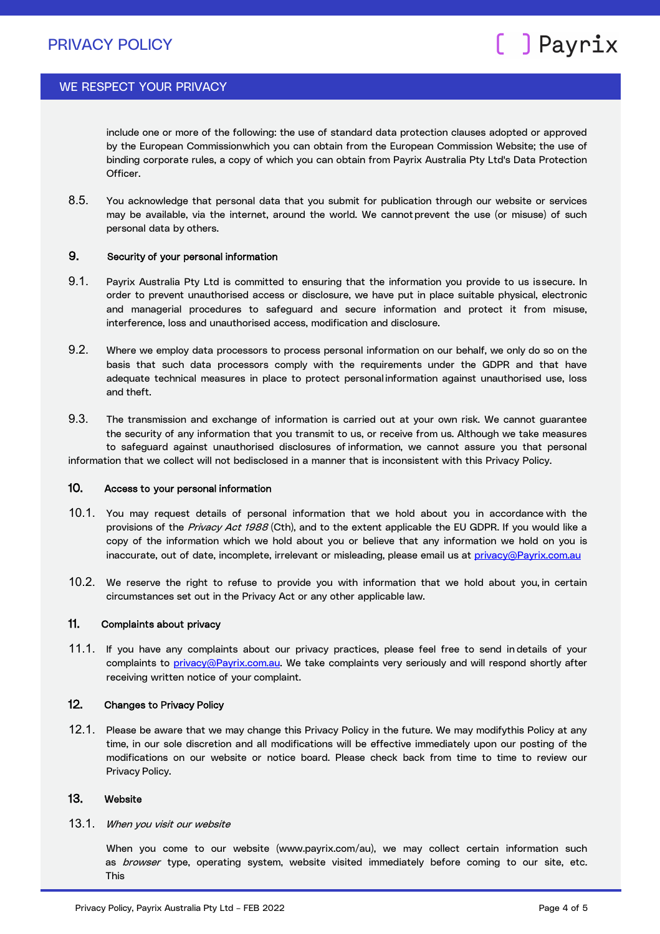### WE RESPECT YOUR PRIVACY

include one or more of the following: the use of standard data protection clauses adopted or approved by the European Commissionwhich you can obtain from the European Commission Website; the use of binding corporate rules, a copy of which you can obtain from Payrix Australia Pty Ltd's Data Protection Officer.

8.5. You acknowledge that personal data that you submit for publication through our website or services may be available, via the internet, around the world. We cannotprevent the use (or misuse) of such personal data by others.

### 9. Security of your personal information

- 9.1. Payrix Australia Pty Ltd is committed to ensuring that the information you provide to us is secure. In order to prevent unauthorised access or disclosure, we have put in place suitable physical, electronic and managerial procedures to safeguard and secure information and protect it from misuse, interference, loss and unauthorised access, modification and disclosure.
- 9.2. Where we employ data processors to process personal information on our behalf, we only do so on the basis that such data processors comply with the requirements under the GDPR and that have adequate technical measures in place to protect personal information against unauthorised use, loss and theft.
- 9.3. The transmission and exchange of information is carried out at your own risk. We cannot guarantee the security of any information that you transmit to us, or receive from us. Although we take measures to safeguard against unauthorised disclosures of information, we cannot assure you that personal

information that we collect will not bedisclosed in a manner that is inconsistent with this Privacy Policy.

#### 10. Access to your personal information

- 10.1. You may request details of personal information that we hold about you in accordance with the provisions of the Privacy Act 1988 (Cth), and to the extent applicable the EU GDPR. If you would like a copy of the information which we hold about you or believe that any information we hold on you is inaccurate, out of date, incomplete, irrelevant or misleading, please email us at [privacy@Payrix.com.au](mailto:privacy@Payrix.com.au)
- 10.2. We reserve the right to refuse to provide you with information that we hold about you, in certain circumstances set out in the Privacy Act or any other applicable law.

### 11. Complaints about privacy

11.1. If you have any complaints about our privacy practices, please feel free to send in details of your complaints to [privacy@Payrix.com.au. W](mailto:privacy@Payrix.com.au)e take complaints very seriously and will respond shortly after receiving written notice of your complaint.

### 12. Changes to Privacy Policy

12.1. Please be aware that we may change this Privacy Policy in the future. We may modifythis Policy at any time, in our sole discretion and all modifications will be effective immediately upon our posting of the modifications on our website or notice board. Please check back from time to time to review our Privacy Policy.

### 13. Website

13.1. When you visit our website

When you come to our website (www.payrix.com/au), we may collect certain information such as browser type, operating system, website visited immediately before coming to our site, etc. This